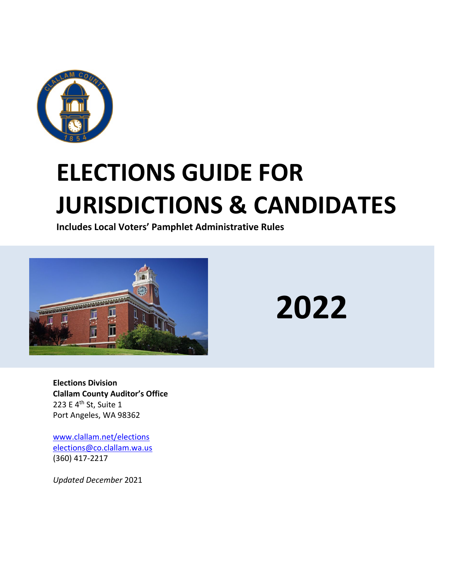

# **ELECTIONS GUIDE FOR JURISDICTIONS & CANDIDATES**

**Includes Local Voters' Pamphlet Administrative Rules**



**2022**

**Elections Division Clallam County Auditor's Office** 223 E 4<sup>th</sup> St, Suite 1 Port Angeles, WA 98362

[www.clallam.net/elections](http://www.clallam.net/elections)  [elections@co.clallam.wa.us](mailto:elections@co.clallam.wa.us) (360) 417-2217

*Updated December* 2021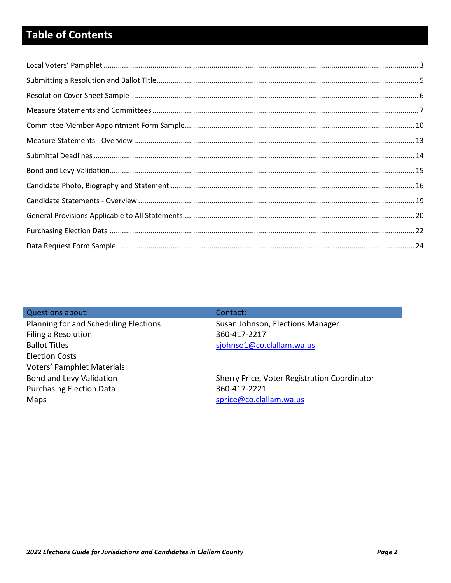## **Table of Contents**

| Questions about:                      | Contact:                                     |
|---------------------------------------|----------------------------------------------|
| Planning for and Scheduling Elections | Susan Johnson, Elections Manager             |
| Filing a Resolution                   | 360-417-2217                                 |
| <b>Ballot Titles</b>                  | sjohnso1@co.clallam.wa.us                    |
| <b>Election Costs</b>                 |                                              |
| <b>Voters' Pamphlet Materials</b>     |                                              |
| Bond and Levy Validation              | Sherry Price, Voter Registration Coordinator |
| <b>Purchasing Election Data</b>       | 360-417-2221                                 |
| Maps                                  | sprice@co.clallam.wa.us                      |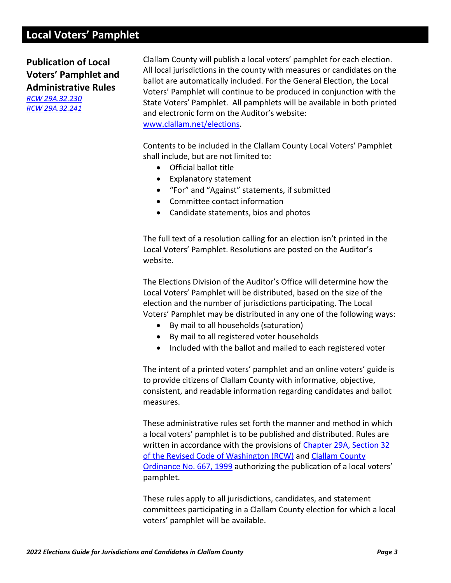## <span id="page-2-0"></span>**Local Voters' Pamphlet**

**Publication of Local Voters' Pamphlet and Administrative Rules** *[RCW 29A.32.230](https://app.leg.wa.gov/rcw/default.aspx?cite=29A.32.230)*

*[RCW 29A.32.241](https://apps.leg.wa.gov/rcw/default.aspx?cite=29A.32.241)*

Clallam County will publish a local voters' pamphlet for each election. All local jurisdictions in the county with measures or candidates on the ballot are automatically included. For the General Election, the Local Voters' Pamphlet will continue to be produced in conjunction with the State Voters' Pamphlet. All pamphlets will be available in both printed and electronic form on the Auditor's website: [www.clallam.net/elections.](http://www.clallam.net/elections)

Contents to be included in the Clallam County Local Voters' Pamphlet shall include, but are not limited to:

- Official ballot title
- Explanatory statement
- "For" and "Against" statements, if submitted
- Committee contact information
- Candidate statements, bios and photos

The full text of a resolution calling for an election isn't printed in the Local Voters' Pamphlet. Resolutions are posted on the Auditor's website.

The Elections Division of the Auditor's Office will determine how the Local Voters' Pamphlet will be distributed, based on the size of the election and the number of jurisdictions participating. The Local Voters' Pamphlet may be distributed in any one of the following ways:

- By mail to all households (saturation)
- By mail to all registered voter households
- Included with the ballot and mailed to each registered voter

The intent of a printed voters' pamphlet and an online voters' guide is to provide citizens of Clallam County with informative, objective, consistent, and readable information regarding candidates and ballot measures.

These administrative rules set forth the manner and method in which a local voters' pamphlet is to be published and distributed. Rules are written in accordance with the provisions of [Chapter 29A, Section 32](https://app.leg.wa.gov/rcw/default.aspx?cite=29a.32) of the Revised Code of Washington (RCW) and [Clallam County](http://websrv7.clallam.net/forms/ordinances/Ord667.pdf)  [Ordinance No. 667, 1999](http://websrv7.clallam.net/forms/ordinances/Ord667.pdf) authorizing the publication of a local voters' pamphlet.

These rules apply to all jurisdictions, candidates, and statement committees participating in a Clallam County election for which a local voters' pamphlet will be available.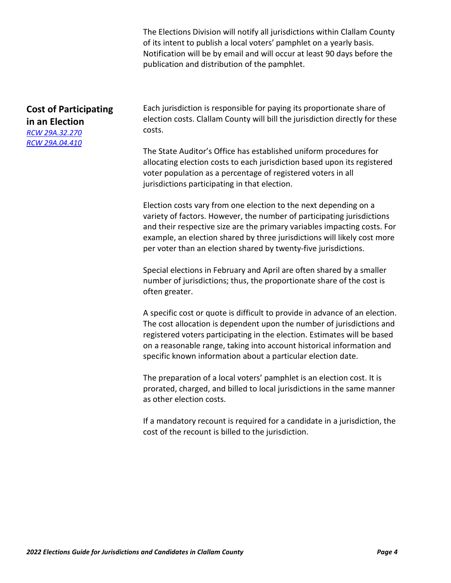The Elections Division will notify all jurisdictions within Clallam County of its intent to publish a local voters' pamphlet on a yearly basis. Notification will be by email and will occur at least 90 days before the publication and distribution of the pamphlet.

## **Cost of Participating in an Election** *[RCW 29A.32.270](https://app.leg.wa.gov/rcw/default.aspx?cite=29a.32.270) [RCW 29A.04.410](https://app.leg.wa.gov/RCW/default.aspx?cite=29A.04.410)*

Each jurisdiction is responsible for paying its proportionate share of election costs. Clallam County will bill the jurisdiction directly for these costs.

The State Auditor's Office has established uniform procedures for allocating election costs to each jurisdiction based upon its registered voter population as a percentage of registered voters in all jurisdictions participating in that election.

Election costs vary from one election to the next depending on a variety of factors. However, the number of participating jurisdictions and their respective size are the primary variables impacting costs. For example, an election shared by three jurisdictions will likely cost more per voter than an election shared by twenty-five jurisdictions.

Special elections in February and April are often shared by a smaller number of jurisdictions; thus, the proportionate share of the cost is often greater.

A specific cost or quote is difficult to provide in advance of an election. The cost allocation is dependent upon the number of jurisdictions and registered voters participating in the election. Estimates will be based on a reasonable range, taking into account historical information and specific known information about a particular election date.

The preparation of a local voters' pamphlet is an election cost. It is prorated, charged, and billed to local jurisdictions in the same manner as other election costs.

If a mandatory recount is required for a candidate in a jurisdiction, the cost of the recount is billed to the jurisdiction.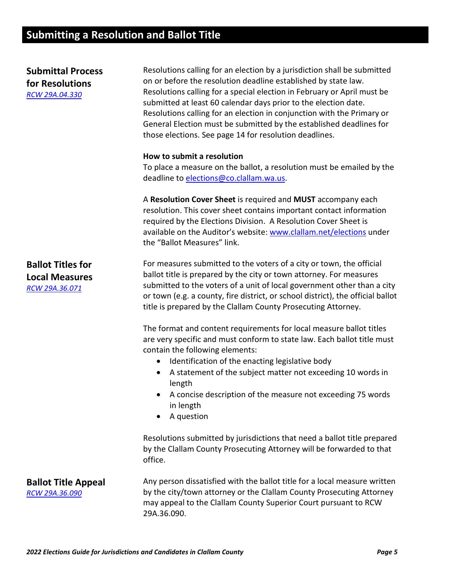## <span id="page-4-0"></span>**Submitting a Resolution and Ballot Title**

| <b>Submittal Process</b><br>for Resolutions<br>RCW 29A.04.330       | Resolutions calling for an election by a jurisdiction shall be submitted<br>on or before the resolution deadline established by state law.<br>Resolutions calling for a special election in February or April must be<br>submitted at least 60 calendar days prior to the election date.<br>Resolutions calling for an election in conjunction with the Primary or<br>General Election must be submitted by the established deadlines for<br>those elections. See page 14 for resolution deadlines. |
|---------------------------------------------------------------------|-----------------------------------------------------------------------------------------------------------------------------------------------------------------------------------------------------------------------------------------------------------------------------------------------------------------------------------------------------------------------------------------------------------------------------------------------------------------------------------------------------|
|                                                                     | How to submit a resolution<br>To place a measure on the ballot, a resolution must be emailed by the<br>deadline to elections@co.clallam.wa.us.                                                                                                                                                                                                                                                                                                                                                      |
|                                                                     | A Resolution Cover Sheet is required and MUST accompany each<br>resolution. This cover sheet contains important contact information<br>required by the Elections Division. A Resolution Cover Sheet is<br>available on the Auditor's website: www.clallam.net/elections under<br>the "Ballot Measures" link.                                                                                                                                                                                        |
| <b>Ballot Titles for</b><br><b>Local Measures</b><br>RCW 29A.36.071 | For measures submitted to the voters of a city or town, the official<br>ballot title is prepared by the city or town attorney. For measures<br>submitted to the voters of a unit of local government other than a city<br>or town (e.g. a county, fire district, or school district), the official ballot<br>title is prepared by the Clallam County Prosecuting Attorney.                                                                                                                          |
|                                                                     | The format and content requirements for local measure ballot titles<br>are very specific and must conform to state law. Each ballot title must<br>contain the following elements:<br>Identification of the enacting legislative body<br>$\bullet$<br>A statement of the subject matter not exceeding 10 words in<br>$\bullet$<br>length<br>A concise description of the measure not exceeding 75 words<br>in length<br>A question<br>٠                                                              |
|                                                                     | Resolutions submitted by jurisdictions that need a ballot title prepared<br>by the Clallam County Prosecuting Attorney will be forwarded to that<br>office.                                                                                                                                                                                                                                                                                                                                         |
| <b>Ballot Title Appeal</b><br>RCW 29A.36.090                        | Any person dissatisfied with the ballot title for a local measure written<br>by the city/town attorney or the Clallam County Prosecuting Attorney<br>may appeal to the Clallam County Superior Court pursuant to RCW<br>29A.36.090.                                                                                                                                                                                                                                                                 |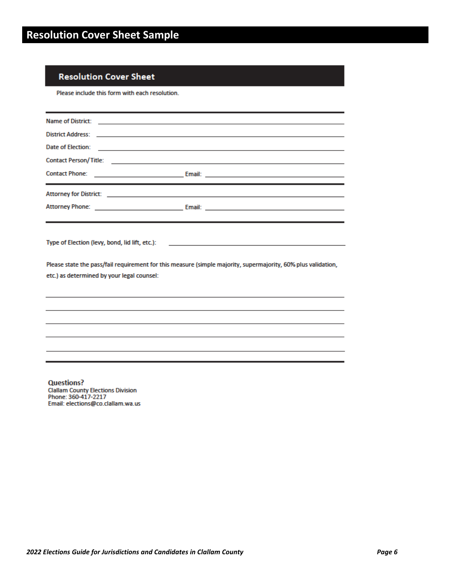## <span id="page-5-0"></span>**Resolution Cover Sheet**

Please include this form with each resolution.

| Date of Election:<br><u> Alexandria de la contrada de la contrada de la contrada de la contrada de la contrada de la contrada de la c</u> |                                                                                                               |  |  |  |  |
|-------------------------------------------------------------------------------------------------------------------------------------------|---------------------------------------------------------------------------------------------------------------|--|--|--|--|
|                                                                                                                                           |                                                                                                               |  |  |  |  |
|                                                                                                                                           |                                                                                                               |  |  |  |  |
|                                                                                                                                           |                                                                                                               |  |  |  |  |
|                                                                                                                                           |                                                                                                               |  |  |  |  |
| etc.) as determined by your legal counsel:                                                                                                | Please state the pass/fail requirement for this measure (simple majority, supermajority, 60% plus validation, |  |  |  |  |
|                                                                                                                                           |                                                                                                               |  |  |  |  |
|                                                                                                                                           |                                                                                                               |  |  |  |  |
|                                                                                                                                           |                                                                                                               |  |  |  |  |
|                                                                                                                                           |                                                                                                               |  |  |  |  |
|                                                                                                                                           |                                                                                                               |  |  |  |  |

**Questions?** Ciallam County Elections Division<br>Phone: 360-417-2217<br>Email: elections@co.clallam.wa.us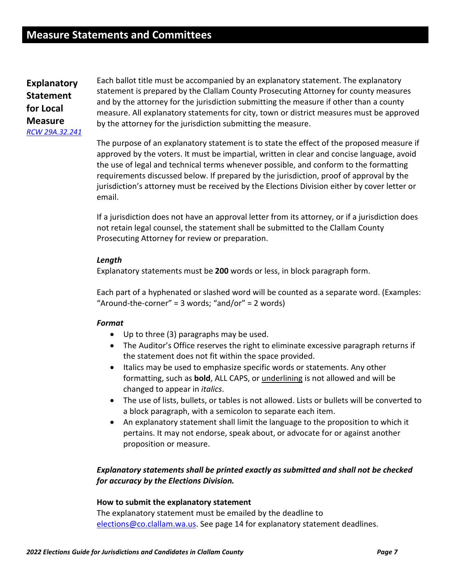<span id="page-6-0"></span>**Explanatory Statement for Local Measure** *[RCW 29A.32.241](https://apps.leg.wa.gov/rcw/default.aspx?cite=29A.32.241)*

Each ballot title must be accompanied by an explanatory statement. The explanatory statement is prepared by the Clallam County Prosecuting Attorney for county measures and by the attorney for the jurisdiction submitting the measure if other than a county measure. All explanatory statements for city, town or district measures must be approved by the attorney for the jurisdiction submitting the measure.

The purpose of an explanatory statement is to state the effect of the proposed measure if approved by the voters. It must be impartial, written in clear and concise language, avoid the use of legal and technical terms whenever possible, and conform to the formatting requirements discussed below. If prepared by the jurisdiction, proof of approval by the jurisdiction's attorney must be received by the Elections Division either by cover letter or email.

If a jurisdiction does not have an approval letter from its attorney, or if a jurisdiction does not retain legal counsel, the statement shall be submitted to the Clallam County Prosecuting Attorney for review or preparation.

#### *Length*

Explanatory statements must be **200** words or less, in block paragraph form.

Each part of a hyphenated or slashed word will be counted as a separate word. (Examples: "Around-the-corner" =  $3$  words; "and/or" =  $2$  words)

#### *Format*

- Up to three (3) paragraphs may be used.
- The Auditor's Office reserves the right to eliminate excessive paragraph returns if the statement does not fit within the space provided.
- Italics may be used to emphasize specific words or statements. Any other formatting, such as **bold**, ALL CAPS, or underlining is not allowed and will be changed to appear in *italics*.
- The use of lists, bullets, or tables is not allowed. Lists or bullets will be converted to a block paragraph, with a semicolon to separate each item.
- An explanatory statement shall limit the language to the proposition to which it pertains. It may not endorse, speak about, or advocate for or against another proposition or measure.

## *Explanatory statements shall be printed exactly as submitted and shall not be checked for accuracy by the Elections Division.*

#### **How to submit the explanatory statement**

The explanatory statement must be emailed by the deadline to [elections@co.clallam.wa.us.](mailto:elections@co.clallam.wa.us) See page 14 for explanatory statement deadlines.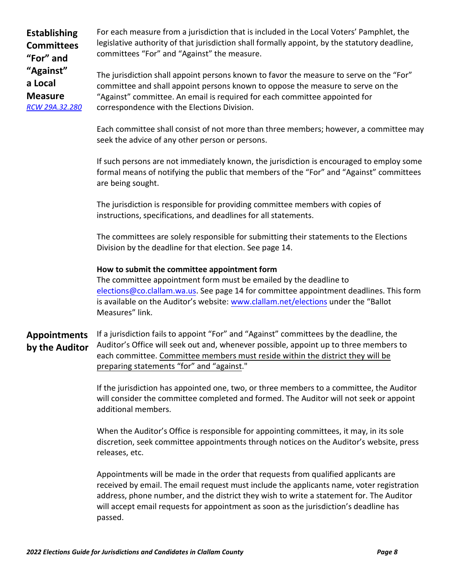**Establishing Committees "For" and "Against" a Local Measure** *[RCW 29A.32.280](https://app.leg.wa.gov/rcw/default.aspx?cite=29A.32.280)* **Appointments by the Auditor** For each measure from a jurisdiction that is included in the Local Voters' Pamphlet, the legislative authority of that jurisdiction shall formally appoint, by the statutory deadline, committees "For" and "Against" the measure. The jurisdiction shall appoint persons known to favor the measure to serve on the "For" committee and shall appoint persons known to oppose the measure to serve on the "Against" committee. An email is required for each committee appointed for correspondence with the Elections Division. Each committee shall consist of not more than three members; however, a committee may seek the advice of any other person or persons. If such persons are not immediately known, the jurisdiction is encouraged to employ some formal means of notifying the public that members of the "For" and "Against" committees are being sought. The jurisdiction is responsible for providing committee members with copies of instructions, specifications, and deadlines for all statements. The committees are solely responsible for submitting their statements to the Elections Division by the deadline for that election. See page 14. **How to submit the committee appointment form** The committee appointment form must be emailed by the deadline to [elections@co.clallam.wa.us.](mailto:elections@co.clallam.wa.us) See page 14 for committee appointment deadlines. This form is available on the Auditor's website: [www.clallam.net/elections](http://www.clallam.net/elections) under the "Ballot Measures" link. If a jurisdiction fails to appoint "For" and "Against" committees by the deadline, the Auditor's Office will seek out and, whenever possible, appoint up to three members to each committee. Committee members must reside within the district they will be preparing statements "for" and "against." If the jurisdiction has appointed one, two, or three members to a committee, the Auditor will consider the committee completed and formed. The Auditor will not seek or appoint additional members. When the Auditor's Office is responsible for appointing committees, it may, in its sole discretion, seek committee appointments through notices on the Auditor's website, press releases, etc. Appointments will be made in the order that requests from qualified applicants are

received by email. The email request must include the applicants name, voter registration address, phone number, and the district they wish to write a statement for. The Auditor will accept email requests for appointment as soon as the jurisdiction's deadline has passed.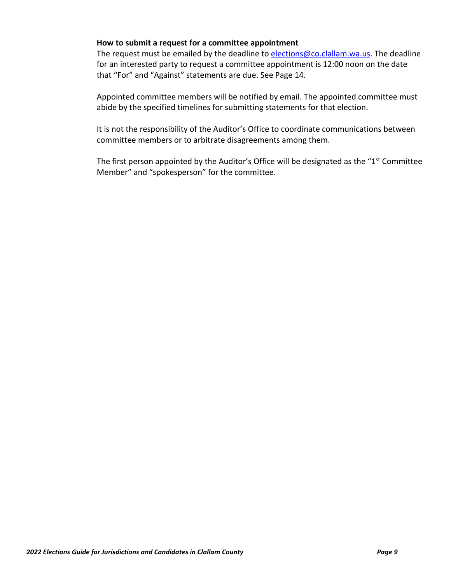#### **How to submit a request for a committee appointment**

The request must be emailed by the deadline to [elections@co.clallam.wa.us.](mailto:elections@co.clallam.wa.us) The deadline for an interested party to request a committee appointment is 12:00 noon on the date that "For" and "Against" statements are due. See Page 14.

Appointed committee members will be notified by email. The appointed committee must abide by the specified timelines for submitting statements for that election.

It is not the responsibility of the Auditor's Office to coordinate communications between committee members or to arbitrate disagreements among them.

The first person appointed by the Auditor's Office will be designated as the "1<sup>st</sup> Committee Member" and "spokesperson" for the committee.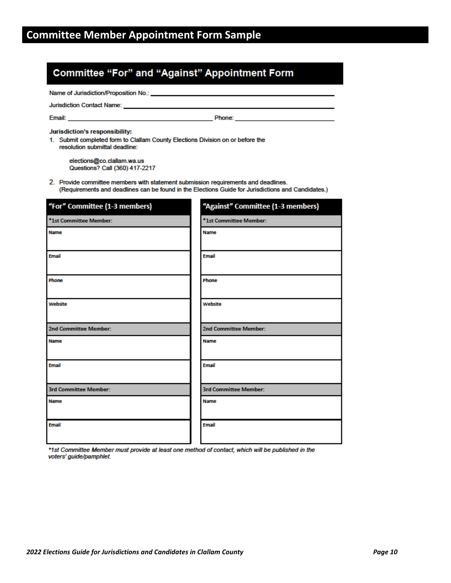## <span id="page-9-0"></span>**Committee "For" and "Against" Appointment Form**

Name of Jurisdiction/Proposition No.: \_

Jurisdiction Contact Name: \_\_

Email:

**Example 2** Phone:

Jurisdiction's responsibility:

1. Submit completed form to Clallam County Elections Division on or before the resolution submittal deadline:

elections@co.clallam.wa.us Questions? Call (360) 417-2217

2. Provide committee members with statement submission requirements and deadlines. (Requirements and deadlines can be found in the Elections Guide for Jurisdictions and Candidates.)

| "For" Committee (1-3 members) | "Against" Committee (1-3 members) |
|-------------------------------|-----------------------------------|
| *1st Committee Member:        | *1st Committee Member:            |
| Name                          | <b>Name</b>                       |
| <b>Email</b>                  | <b>Email</b>                      |
| Phone                         | Phone                             |
| Website                       | Website                           |
| 2nd Committee Member:         | 2nd Committee Member:             |
| <b>Name</b>                   | Name                              |
| <b>Email</b>                  | <b>Email</b>                      |
| <b>3rd Committee Member:</b>  | <b>3rd Committee Member:</b>      |
| <b>Name</b>                   | <b>Name</b>                       |
| <b>Email</b>                  | <b>Email</b>                      |

\*1st Committee Member must provide at least one method of contact, which will be published in the voters' guide/pamphlet.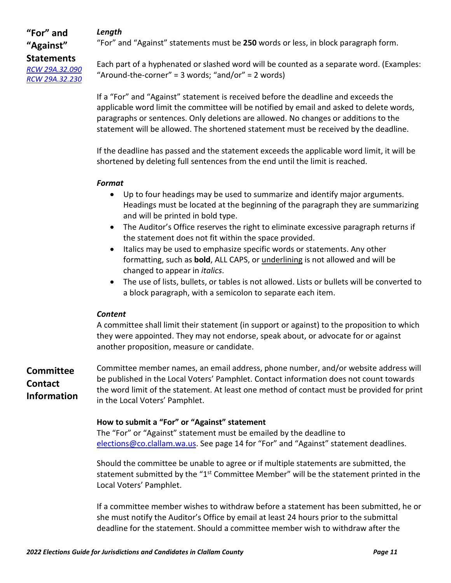## *Length*

## **"For" and "Against" Statements** *[RCW 29A.32.090](https://app.leg.wa.gov/rcw/default.aspx?cite=29A.32.090) [RCW 29A.32.230](https://app.leg.wa.gov/rcw/default.aspx?cite=29A.32.230)*

"For" and "Against" statements must be **250** words or less, in block paragraph form.

Each part of a hyphenated or slashed word will be counted as a separate word. (Examples: "Around-the-corner" = 3 words; "and/or" = 2 words)

If a "For" and "Against" statement is received before the deadline and exceeds the applicable word limit the committee will be notified by email and asked to delete words, paragraphs or sentences. Only deletions are allowed. No changes or additions to the statement will be allowed. The shortened statement must be received by the deadline.

If the deadline has passed and the statement exceeds the applicable word limit, it will be shortened by deleting full sentences from the end until the limit is reached.

#### *Format*

- Up to four headings may be used to summarize and identify major arguments. Headings must be located at the beginning of the paragraph they are summarizing and will be printed in bold type.
- The Auditor's Office reserves the right to eliminate excessive paragraph returns if the statement does not fit within the space provided.
- Italics may be used to emphasize specific words or statements. Any other formatting, such as **bold**, ALL CAPS, or underlining is not allowed and will be changed to appear in *italics*.
- The use of lists, bullets, or tables is not allowed. Lists or bullets will be converted to a block paragraph, with a semicolon to separate each item.

## *Content*

A committee shall limit their statement (in support or against) to the proposition to which they were appointed. They may not endorse, speak about, or advocate for or against another proposition, measure or candidate.

**Committee Contact Information** Committee member names, an email address, phone number, and/or website address will be published in the Local Voters' Pamphlet. Contact information does not count towards the word limit of the statement. At least one method of contact must be provided for print in the Local Voters' Pamphlet.

## **How to submit a "For" or "Against" statement**

The "For" or "Against" statement must be emailed by the deadline to [elections@co.clallam.wa.us.](mailto:elections@co.clallam.wa.us) See page 14 for "For" and "Against" statement deadlines.

Should the committee be unable to agree or if multiple statements are submitted, the statement submitted by the "1<sup>st</sup> Committee Member" will be the statement printed in the Local Voters' Pamphlet.

If a committee member wishes to withdraw before a statement has been submitted, he or she must notify the Auditor's Office by email at least 24 hours prior to the submittal deadline for the statement. Should a committee member wish to withdraw after the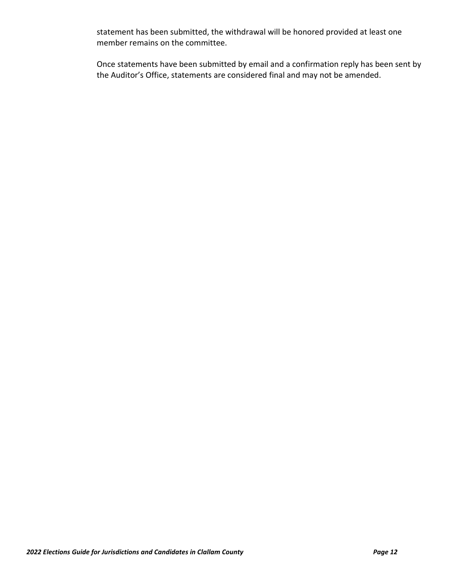statement has been submitted, the withdrawal will be honored provided at least one member remains on the committee.

Once statements have been submitted by email and a confirmation reply has been sent by the Auditor's Office, statements are considered final and may not be amended.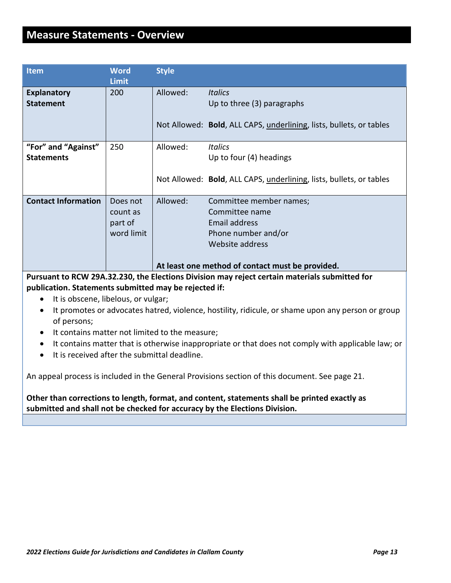## <span id="page-12-0"></span>**Measure Statements - Overview**

| <b>Item</b>                              | <b>Word</b><br><b>Limit</b>                   | <b>Style</b> |                                                                                                                                                          |
|------------------------------------------|-----------------------------------------------|--------------|----------------------------------------------------------------------------------------------------------------------------------------------------------|
| <b>Explanatory</b><br><b>Statement</b>   | 200                                           | Allowed:     | <b>Italics</b><br>Up to three (3) paragraphs                                                                                                             |
|                                          |                                               |              | Not Allowed: Bold, ALL CAPS, underlining, lists, bullets, or tables                                                                                      |
| "For" and "Against"<br><b>Statements</b> | 250                                           | Allowed:     | <b>Italics</b><br>Up to four (4) headings                                                                                                                |
|                                          |                                               |              | Not Allowed: Bold, ALL CAPS, underlining, lists, bullets, or tables                                                                                      |
| <b>Contact Information</b>               | Does not<br>count as<br>part of<br>word limit | Allowed:     | Committee member names;<br>Committee name<br>Email address<br>Phone number and/or<br>Website address<br>At least one method of contact must be provided. |
|                                          | <b>BAULARA BRAGA UL</b>                       |              |                                                                                                                                                          |

**Pursuant to RCW 29A.32.230, the Elections Division may reject certain materials submitted for publication. Statements submitted may be rejected if:**

- It is obscene, libelous, or vulgar;
- It promotes or advocates hatred, violence, hostility, ridicule, or shame upon any person or group of persons;
- It contains matter not limited to the measure;
- It contains matter that is otherwise inappropriate or that does not comply with applicable law; or
- It is received after the submittal deadline.

An appeal process is included in the General Provisions section of this document. See page 21.

**Other than corrections to length, format, and content, statements shall be printed exactly as submitted and shall not be checked for accuracy by the Elections Division.**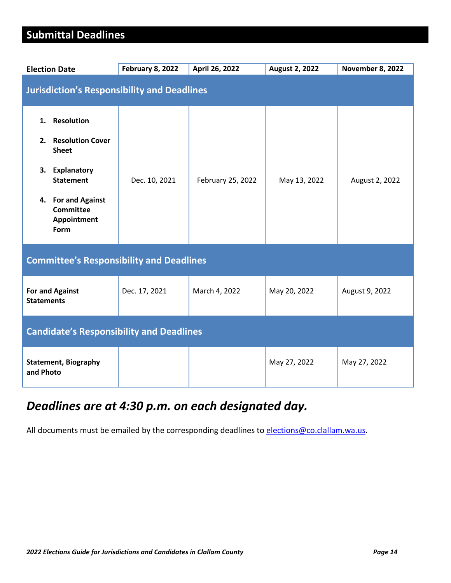## <span id="page-13-0"></span>**Submittal Deadlines**

| <b>Election Date</b>                                                                                                                                                     | <b>February 8, 2022</b> | April 26, 2022    | <b>August 2, 2022</b> | <b>November 8, 2022</b> |
|--------------------------------------------------------------------------------------------------------------------------------------------------------------------------|-------------------------|-------------------|-----------------------|-------------------------|
| <b>Jurisdiction's Responsibility and Deadlines</b>                                                                                                                       |                         |                   |                       |                         |
| <b>Resolution</b><br>1.<br>2. Resolution Cover<br><b>Sheet</b><br>Explanatory<br>3.<br><b>Statement</b><br>4. For and Against<br><b>Committee</b><br>Appointment<br>Form | Dec. 10, 2021           | February 25, 2022 | May 13, 2022          | August 2, 2022          |
| <b>Committee's Responsibility and Deadlines</b>                                                                                                                          |                         |                   |                       |                         |
| <b>For and Against</b><br><b>Statements</b>                                                                                                                              | Dec. 17, 2021           | March 4, 2022     | May 20, 2022          | August 9, 2022          |
| <b>Candidate's Responsibility and Deadlines</b>                                                                                                                          |                         |                   |                       |                         |
| <b>Statement, Biography</b><br>and Photo                                                                                                                                 |                         |                   | May 27, 2022          | May 27, 2022            |

## *Deadlines are at 4:30 p.m. on each designated day.*

All documents must be emailed by the corresponding deadlines t[o elections@co.clallam.wa.us.](mailto:elections@co.clallam.wa.us)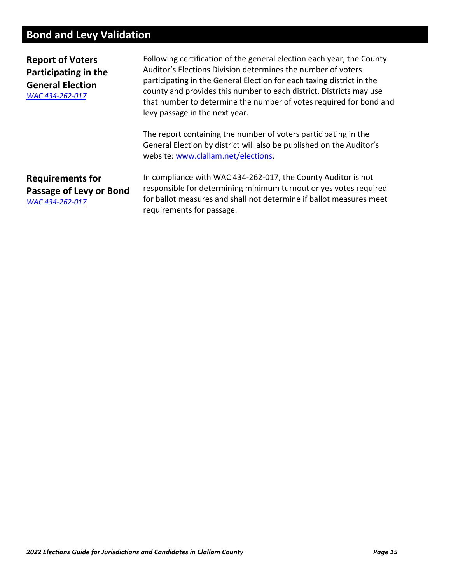## <span id="page-14-0"></span>**Bond and Levy Validation**

**Report of Voters Participating in the General Election** *[WAC 434-262-017](https://app.leg.wa.gov/WAC/default.aspx?cite=434-262-017)*

Following certification of the general election each year, the County Auditor's Elections Division determines the number of voters participating in the General Election for each taxing district in the county and provides this number to each district. Districts may use that number to determine the number of votes required for bond and levy passage in the next year.

The report containing the number of voters participating in the General Election by district will also be published on the Auditor's website: [www.clallam.net/elections.](http://www.clallam.net/elections)

**Requirements for Passage of Levy or Bond** *[WAC 434-262-017](https://app.leg.wa.gov/WAC/default.aspx?cite=434-262-017)*

In compliance with WAC 434-262-017, the County Auditor is not responsible for determining minimum turnout or yes votes required for ballot measures and shall not determine if ballot measures meet requirements for passage.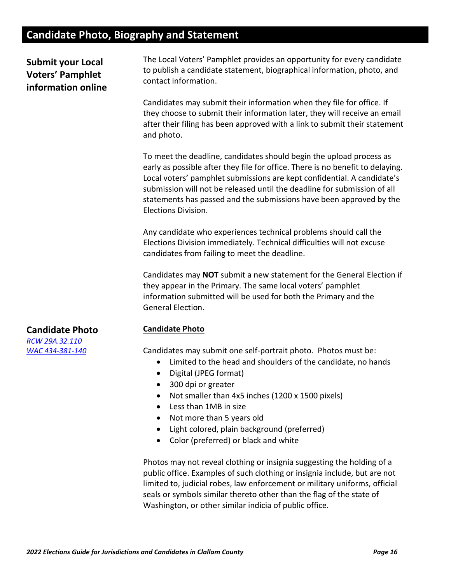## <span id="page-15-0"></span>**Candidate Photo, Biography and Statement**

**Submit your Local Voters' Pamphlet information online** The Local Voters' Pamphlet provides an opportunity for every candidate to publish a candidate statement, biographical information, photo, and contact information.

Candidates may submit their information when they file for office. If they choose to submit their information later, they will receive an email after their filing has been approved with a link to submit their statement and photo.

To meet the deadline, candidates should begin the upload process as early as possible after they file for office. There is no benefit to delaying. Local voters' pamphlet submissions are kept confidential. A candidate's submission will not be released until the deadline for submission of all statements has passed and the submissions have been approved by the Elections Division.

Any candidate who experiences technical problems should call the Elections Division immediately. Technical difficulties will not excuse candidates from failing to meet the deadline.

Candidates may **NOT** submit a new statement for the General Election if they appear in the Primary. The same local voters' pamphlet information submitted will be used for both the Primary and the General Election.

#### **Candidate Photo**

Candidates may submit one self-portrait photo. Photos must be:

- Limited to the head and shoulders of the candidate, no hands
- Digital (JPEG format)
- 300 dpi or greater
- Not smaller than 4x5 inches (1200 x 1500 pixels)
- Less than 1MB in size
- Not more than 5 years old
- Light colored, plain background (preferred)
- Color (preferred) or black and white

Photos may not reveal clothing or insignia suggesting the holding of a public office. Examples of such clothing or insignia include, but are not limited to, judicial robes, law enforcement or military uniforms, official seals or symbols similar thereto other than the flag of the state of Washington, or other similar indicia of public office.

## **Candidate Photo**

*[RCW 29A.32.110](https://app.leg.wa.gov/rcw/default.aspx?cite=29A.32.110) [WAC 434-381-140](https://apps.leg.wa.gov/wac/default.aspx?cite=434-381-140)*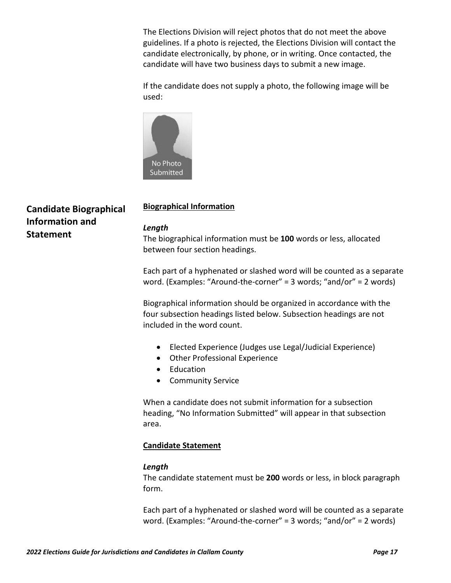The Elections Division will reject photos that do not meet the above guidelines. If a photo is rejected, the Elections Division will contact the candidate electronically, by phone, or in writing. Once contacted, the candidate will have two business days to submit a new image.

If the candidate does not supply a photo, the following image will be used:



## **Candidate Biographical Information and Statement**

## **Biographical Information**

#### *Length*

The biographical information must be **100** words or less, allocated between four section headings.

Each part of a hyphenated or slashed word will be counted as a separate word. (Examples: "Around-the-corner" = 3 words; "and/or" = 2 words)

Biographical information should be organized in accordance with the four subsection headings listed below. Subsection headings are not included in the word count.

- Elected Experience (Judges use Legal/Judicial Experience)
- Other Professional Experience
- Education
- Community Service

When a candidate does not submit information for a subsection heading, "No Information Submitted" will appear in that subsection area.

#### **Candidate Statement**

#### *Length*

The candidate statement must be **200** words or less, in block paragraph form.

Each part of a hyphenated or slashed word will be counted as a separate word. (Examples: "Around-the-corner" = 3 words; "and/or" = 2 words)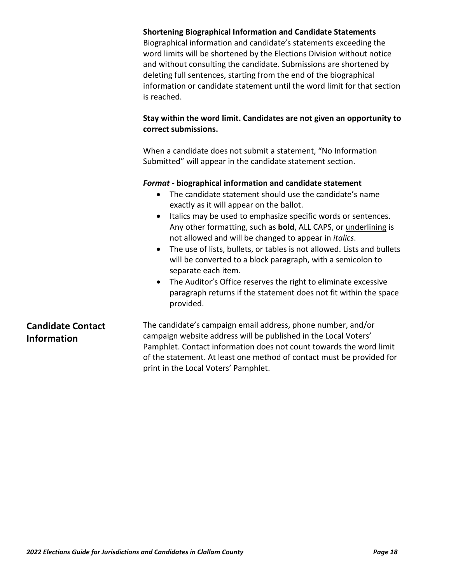|                                                | <b>Shortening Biographical Information and Candidate Statements</b><br>Biographical information and candidate's statements exceeding the<br>word limits will be shortened by the Elections Division without notice<br>and without consulting the candidate. Submissions are shortened by<br>deleting full sentences, starting from the end of the biographical<br>information or candidate statement until the word limit for that section<br>is reached.                                                                                                                                                                                                                                                                         |
|------------------------------------------------|-----------------------------------------------------------------------------------------------------------------------------------------------------------------------------------------------------------------------------------------------------------------------------------------------------------------------------------------------------------------------------------------------------------------------------------------------------------------------------------------------------------------------------------------------------------------------------------------------------------------------------------------------------------------------------------------------------------------------------------|
|                                                | Stay within the word limit. Candidates are not given an opportunity to<br>correct submissions.                                                                                                                                                                                                                                                                                                                                                                                                                                                                                                                                                                                                                                    |
|                                                | When a candidate does not submit a statement, "No Information<br>Submitted" will appear in the candidate statement section.                                                                                                                                                                                                                                                                                                                                                                                                                                                                                                                                                                                                       |
|                                                | Format - biographical information and candidate statement<br>The candidate statement should use the candidate's name<br>$\bullet$<br>exactly as it will appear on the ballot.<br>Italics may be used to emphasize specific words or sentences.<br>$\bullet$<br>Any other formatting, such as <b>bold</b> , ALL CAPS, or <i>underlining</i> is<br>not allowed and will be changed to appear in <i>italics</i> .<br>The use of lists, bullets, or tables is not allowed. Lists and bullets<br>will be converted to a block paragraph, with a semicolon to<br>separate each item.<br>The Auditor's Office reserves the right to eliminate excessive<br>paragraph returns if the statement does not fit within the space<br>provided. |
| <b>Candidate Contact</b><br><b>Information</b> | The candidate's campaign email address, phone number, and/or<br>campaign website address will be published in the Local Voters'<br>Pamphlet. Contact information does not count towards the word limit<br>of the statement. At least one method of contact must be provided for<br>print in the Local Voters' Pamphlet.                                                                                                                                                                                                                                                                                                                                                                                                           |
|                                                |                                                                                                                                                                                                                                                                                                                                                                                                                                                                                                                                                                                                                                                                                                                                   |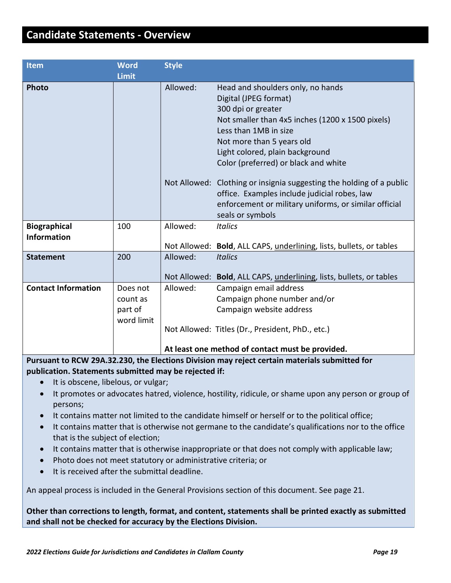## <span id="page-18-0"></span>**Candidate Statements - Overview**

| Item                       | <b>Word</b>  | <b>Style</b> |                                                                      |
|----------------------------|--------------|--------------|----------------------------------------------------------------------|
|                            | <b>Limit</b> |              |                                                                      |
| <b>Photo</b>               |              | Allowed:     | Head and shoulders only, no hands                                    |
|                            |              |              | Digital (JPEG format)                                                |
|                            |              |              | 300 dpi or greater                                                   |
|                            |              |              | Not smaller than 4x5 inches (1200 x 1500 pixels)                     |
|                            |              |              | Less than 1MB in size                                                |
|                            |              |              | Not more than 5 years old                                            |
|                            |              |              | Light colored, plain background                                      |
|                            |              |              | Color (preferred) or black and white                                 |
|                            |              |              | Not Allowed: Clothing or insignia suggesting the holding of a public |
|                            |              |              | office. Examples include judicial robes, law                         |
|                            |              |              | enforcement or military uniforms, or similar official                |
|                            |              |              | seals or symbols                                                     |
| <b>Biographical</b>        | 100          | Allowed:     | <b>Italics</b>                                                       |
| <b>Information</b>         |              |              |                                                                      |
|                            |              |              | Not Allowed: Bold, ALL CAPS, underlining, lists, bullets, or tables  |
| <b>Statement</b>           | 200          | Allowed:     | <b>Italics</b>                                                       |
|                            |              |              | Not Allowed: Bold, ALL CAPS, underlining, lists, bullets, or tables  |
| <b>Contact Information</b> | Does not     | Allowed:     | Campaign email address                                               |
|                            | count as     |              | Campaign phone number and/or                                         |
|                            | part of      |              | Campaign website address                                             |
|                            | word limit   |              |                                                                      |
|                            |              |              | Not Allowed: Titles (Dr., President, PhD., etc.)                     |
|                            |              |              | At least one method of contact must be provided.                     |
|                            |              |              |                                                                      |

**Pursuant to RCW 29A.32.230, the Elections Division may reject certain materials submitted for publication. Statements submitted may be rejected if:**

- It is obscene, libelous, or vulgar;
- It promotes or advocates hatred, violence, hostility, ridicule, or shame upon any person or group of persons;
- It contains matter not limited to the candidate himself or herself or to the political office;
- It contains matter that is otherwise not germane to the candidate's qualifications nor to the office that is the subject of election;
- It contains matter that is otherwise inappropriate or that does not comply with applicable law;
- Photo does not meet statutory or administrative criteria; or
- It is received after the submittal deadline.

An appeal process is included in the General Provisions section of this document. See page 21.

**Other than corrections to length, format, and content, statements shall be printed exactly as submitted and shall not be checked for accuracy by the Elections Division.**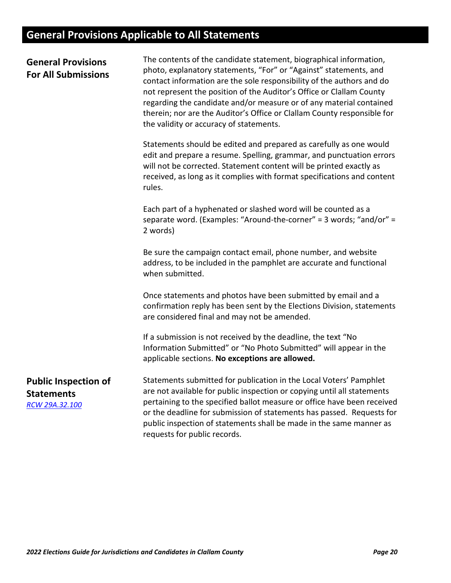## <span id="page-19-0"></span>**General Provisions Applicable to All Statements**

| <b>General Provisions</b><br><b>For All Submissions</b>            | The contents of the candidate statement, biographical information,<br>photo, explanatory statements, "For" or "Against" statements, and<br>contact information are the sole responsibility of the authors and do<br>not represent the position of the Auditor's Office or Clallam County<br>regarding the candidate and/or measure or of any material contained<br>therein; nor are the Auditor's Office or Clallam County responsible for<br>the validity or accuracy of statements. |
|--------------------------------------------------------------------|---------------------------------------------------------------------------------------------------------------------------------------------------------------------------------------------------------------------------------------------------------------------------------------------------------------------------------------------------------------------------------------------------------------------------------------------------------------------------------------|
|                                                                    | Statements should be edited and prepared as carefully as one would<br>edit and prepare a resume. Spelling, grammar, and punctuation errors<br>will not be corrected. Statement content will be printed exactly as<br>received, as long as it complies with format specifications and content<br>rules.                                                                                                                                                                                |
|                                                                    | Each part of a hyphenated or slashed word will be counted as a<br>separate word. (Examples: "Around-the-corner" = 3 words; "and/or" =<br>2 words)                                                                                                                                                                                                                                                                                                                                     |
|                                                                    | Be sure the campaign contact email, phone number, and website<br>address, to be included in the pamphlet are accurate and functional<br>when submitted.                                                                                                                                                                                                                                                                                                                               |
|                                                                    | Once statements and photos have been submitted by email and a<br>confirmation reply has been sent by the Elections Division, statements<br>are considered final and may not be amended.                                                                                                                                                                                                                                                                                               |
|                                                                    | If a submission is not received by the deadline, the text "No<br>Information Submitted" or "No Photo Submitted" will appear in the<br>applicable sections. No exceptions are allowed.                                                                                                                                                                                                                                                                                                 |
| <b>Public Inspection of</b><br><b>Statements</b><br>RCW 29A.32.100 | Statements submitted for publication in the Local Voters' Pamphlet<br>are not available for public inspection or copying until all statements<br>pertaining to the specified ballot measure or office have been received<br>or the deadline for submission of statements has passed. Requests for<br>public inspection of statements shall be made in the same manner as<br>requests for public records.                                                                              |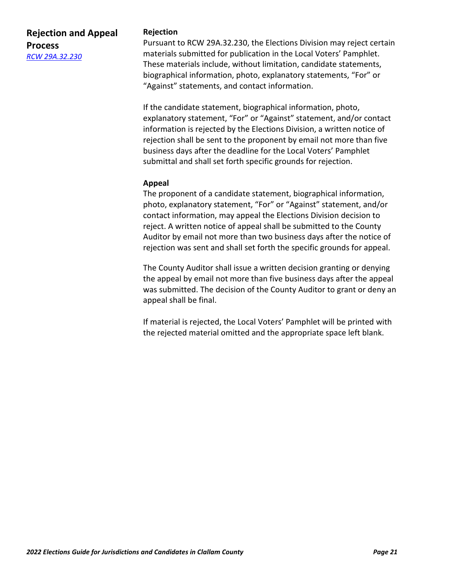## **Rejection and Appeal Process** *[RCW 29A.32.230](https://app.leg.wa.gov/rcw/default.aspx?cite=29A.32.230)*

#### **Rejection**

Pursuant to RCW 29A.32.230, the Elections Division may reject certain materials submitted for publication in the Local Voters' Pamphlet. These materials include, without limitation, candidate statements, biographical information, photo, explanatory statements, "For" or "Against" statements, and contact information.

If the candidate statement, biographical information, photo, explanatory statement, "For" or "Against" statement, and/or contact information is rejected by the Elections Division, a written notice of rejection shall be sent to the proponent by email not more than five business days after the deadline for the Local Voters' Pamphlet submittal and shall set forth specific grounds for rejection.

#### **Appeal**

The proponent of a candidate statement, biographical information, photo, explanatory statement, "For" or "Against" statement, and/or contact information, may appeal the Elections Division decision to reject. A written notice of appeal shall be submitted to the County Auditor by email not more than two business days after the notice of rejection was sent and shall set forth the specific grounds for appeal.

The County Auditor shall issue a written decision granting or denying the appeal by email not more than five business days after the appeal was submitted. The decision of the County Auditor to grant or deny an appeal shall be final.

If material is rejected, the Local Voters' Pamphlet will be printed with the rejected material omitted and the appropriate space left blank.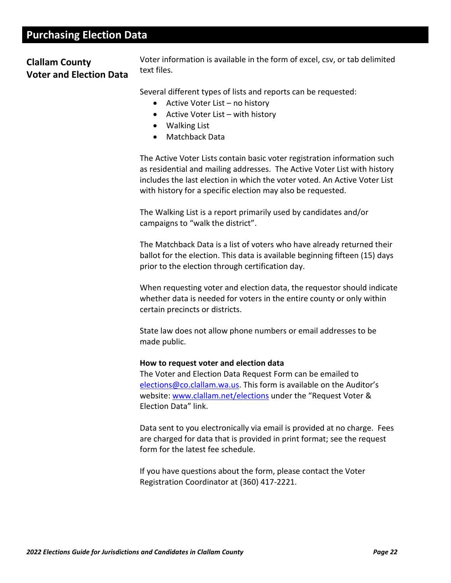## <span id="page-21-0"></span>**Purchasing Election Data**

## **Clallam County Voter and Election Data**

Voter information is available in the form of excel, csv, or tab delimited text files.

Several different types of lists and reports can be requested:

- Active Voter List no history
- Active Voter List with history
- Walking List
- Matchback Data

The Active Voter Lists contain basic voter registration information such as residential and mailing addresses. The Active Voter List with history includes the last election in which the voter voted. An Active Voter List with history for a specific election may also be requested.

The Walking List is a report primarily used by candidates and/or campaigns to "walk the district".

The Matchback Data is a list of voters who have already returned their ballot for the election. This data is available beginning fifteen (15) days prior to the election through certification day.

When requesting voter and election data, the requestor should indicate whether data is needed for voters in the entire county or only within certain precincts or districts.

State law does not allow phone numbers or email addresses to be made public.

#### **How to request voter and election data**

The Voter and Election Data Request Form can be emailed to [elections@co.clallam.wa.us.](mailto:elections@co.clallam.wa.us) This form is available on the Auditor's website: [www.clallam.net/elections](http://www.clallam.net/elections) under the "Request Voter & Election Data" link.

Data sent to you electronically via email is provided at no charge. Fees are charged for data that is provided in print format; see the request form for the latest fee schedule.

If you have questions about the form, please contact the Voter Registration Coordinator at (360) 417-2221.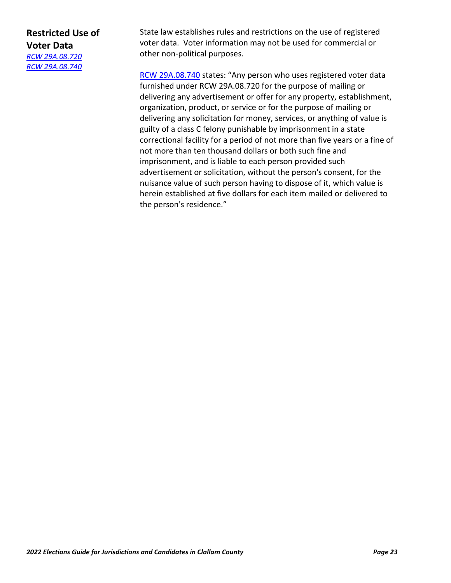## **Restricted Use of Voter Data**

*[RCW 29A.08.720](https://apps.leg.wa.gov/Rcw/default.aspx?cite=29A.08.720) [RCW 29A.08.740](https://apps.leg.wa.gov/rcw/default.aspx?cite=29A.08.740)*

State law establishes rules and restrictions on the use of registered voter data. Voter information may not be used for commercial or other non-political purposes.

[RCW 29A.08.740](https://apps.leg.wa.gov/rcw/default.aspx?cite=29A.08.740) states: "Any person who uses registered voter data furnished under RCW 29A.08.720 for the purpose of mailing or delivering any advertisement or offer for any property, establishment, organization, product, or service or for the purpose of mailing or delivering any solicitation for money, services, or anything of value is guilty of a class C felony punishable by imprisonment in a state correctional facility for a period of not more than five years or a fine of not more than ten thousand dollars or both such fine and imprisonment, and is liable to each person provided such advertisement or solicitation, without the person's consent, for the nuisance value of such person having to dispose of it, which value is herein established at five dollars for each item mailed or delivered to the person's residence."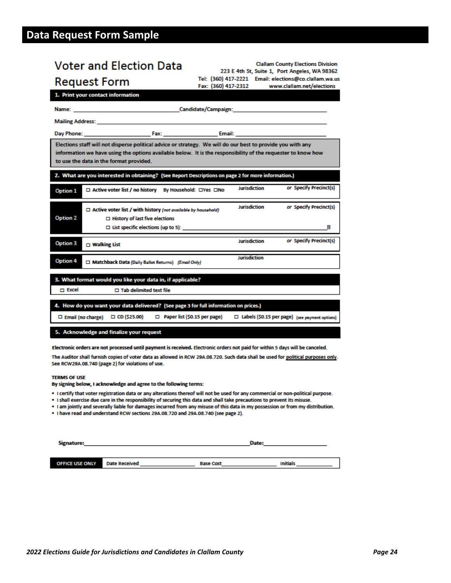## <span id="page-23-0"></span>**Data Request Form Sample**

| <b>Voter and Election Data</b>                                                                                                                                                                                                     | <b>Clallam County Elections Division</b><br>223 E 4th St, Suite 1, Port Angeles, WA 98362                    |  |  |  |
|------------------------------------------------------------------------------------------------------------------------------------------------------------------------------------------------------------------------------------|--------------------------------------------------------------------------------------------------------------|--|--|--|
| Tel: (360) 417-2221 Email: elections@co.clallam.wa.us<br><b>Request Form</b><br>Fax: (360) 417-2312<br>www.clallam.net/elections                                                                                                   |                                                                                                              |  |  |  |
| 1. Print your contact information                                                                                                                                                                                                  |                                                                                                              |  |  |  |
|                                                                                                                                                                                                                                    |                                                                                                              |  |  |  |
| <b>Mailing Address:</b> Mail 2008 and 2008 and 2008 and 2008 and 2008 and 2008 and 2008 and 2008 and 2008 and 2008 and 2008 and 2008 and 2008 and 2008 and 2008 and 2008 and 2008 and 2008 and 2008 and 2008 and 2008 and 2008 and |                                                                                                              |  |  |  |
|                                                                                                                                                                                                                                    |                                                                                                              |  |  |  |
| Elections staff will not disperse political advice or strategy. We will do our best to provide you with any<br>to use the data in the format provided.                                                                             | information we have using the options available below. It is the responsibility of the requester to know how |  |  |  |
| 2. What are you interested in obtaining? (See Report Descriptions on page 2 for more information.)                                                                                                                                 |                                                                                                              |  |  |  |
| □ Active voter list / no history By Household: □Yes □No<br>Option 1                                                                                                                                                                | or Specify Precinct(s)<br><b>Jurisdiction</b>                                                                |  |  |  |
| $\Box$ Active voter list / with history (not available by household)<br>Option 2<br>$\Box$ History of last five elections<br>$\Box$ List specific elections (up to 5):                                                             | <b>Jurisdiction</b><br>or Specify Precinct(s)<br>Ы                                                           |  |  |  |
| Option 3<br>$\square$ Walking List                                                                                                                                                                                                 | or Specify Precinct(s)<br>Jurisdiction                                                                       |  |  |  |
| Option 4<br>Matchback Data (Daily Ballot Returns) (Email Only)                                                                                                                                                                     | Jurisdiction                                                                                                 |  |  |  |
| 3. What format would you like your data in, if applicable?<br>m Excel<br>$\Box$ Tab delimited text file                                                                                                                            |                                                                                                              |  |  |  |
| 4. How do you want your data delivered? (See page 3 for full information on prices.)<br>$\square$ Email (no charge) $\square$ CD (\$25.00)                                                                                         | Paper list (\$0.15 per page)<br>□ Labels (\$0.15 per page) (see payment options)                             |  |  |  |
| 5. Acknowledge and finalize your request                                                                                                                                                                                           |                                                                                                              |  |  |  |
| Electronic orders are not processed until payment is received. Electronic orders not paid for within 5 days will be canceled.                                                                                                      |                                                                                                              |  |  |  |

The Auditor shall furnish copies of voter data as allowed in RCW 29A.08.720. Such data shall be used for political purposes only. See RCW29A.08.740 (page 2) for violations of use.

#### **TERMS OF USE**

By signing below, I acknowledge and agree to the following terms:

- . I certify that voter registration data or any alterations thereof will not be used for any commercial or non-political purpose.
- . I shall exercise due care in the responsibility of securing this data and shall take precautions to prevent its misuse.
- . I am jointly and severally liable for damages incurred from any misuse of this data in my possession or from my distribution.
- . I have read and understand RCW sections 29A.08.720 and 29A.08.740 (see page 2).

| Signature:             |                      |                  | Date:           |  |
|------------------------|----------------------|------------------|-----------------|--|
|                        |                      |                  |                 |  |
| <b>OFFICE USE ONLY</b> | <b>Date Received</b> | <b>Base Cost</b> | <b>Initials</b> |  |